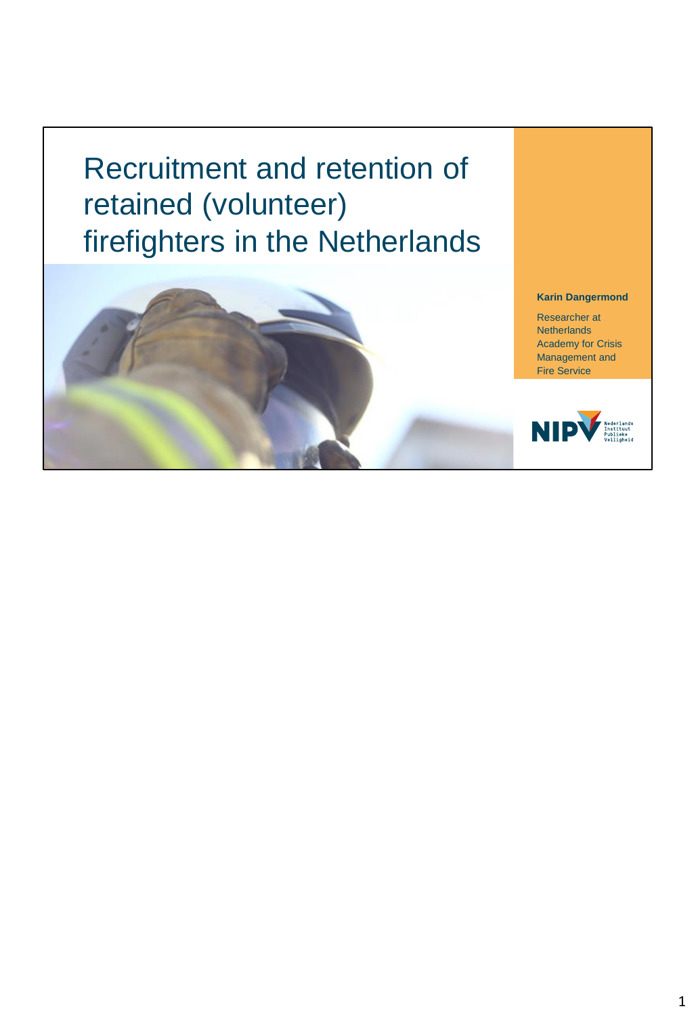Recruitment and retention of retained (volunteer) firefighters in the Netherlands

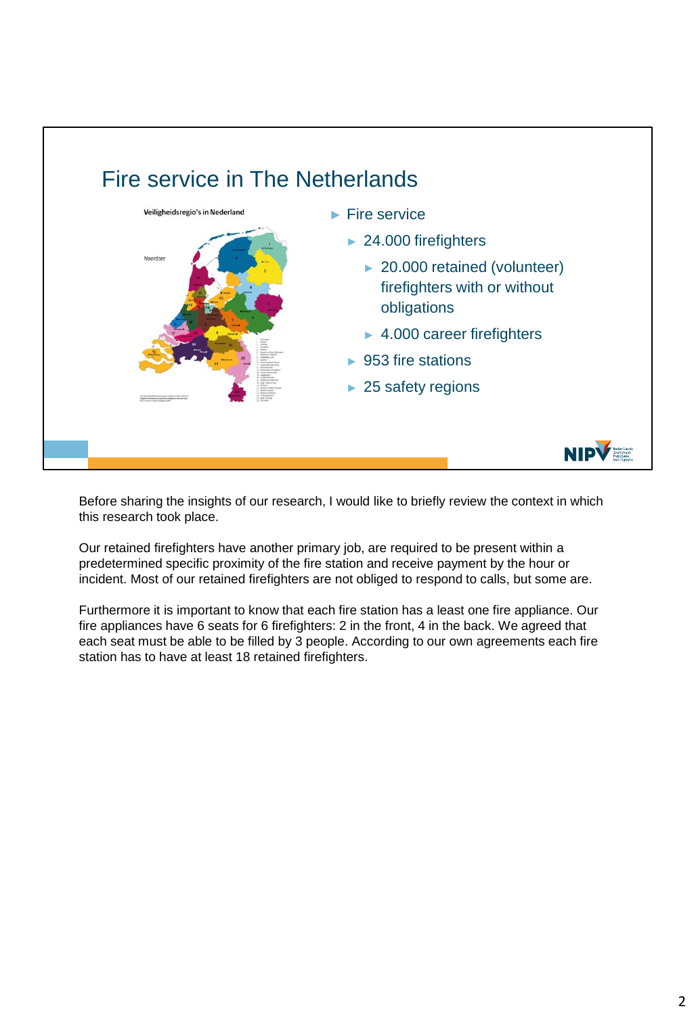

Before sharing the insights of our research, I would like to briefly review the context in which this research took place.

Our retained firefighters have another primary job, are required to be present within a predetermined specific proximity of the fire station and receive payment by the hour or incident. Most of our retained firefighters are not obliged to respond to calls, but some are.

Furthermore it is important to know that each fire station has a least one fire appliance. Our fire appliances have 6 seats for 6 firefighters: 2 in the front, 4 in the back. We agreed that each seat must be able to be filled by 3 people. According to our own agreements each fire station has to have at least 18 retained firefighters.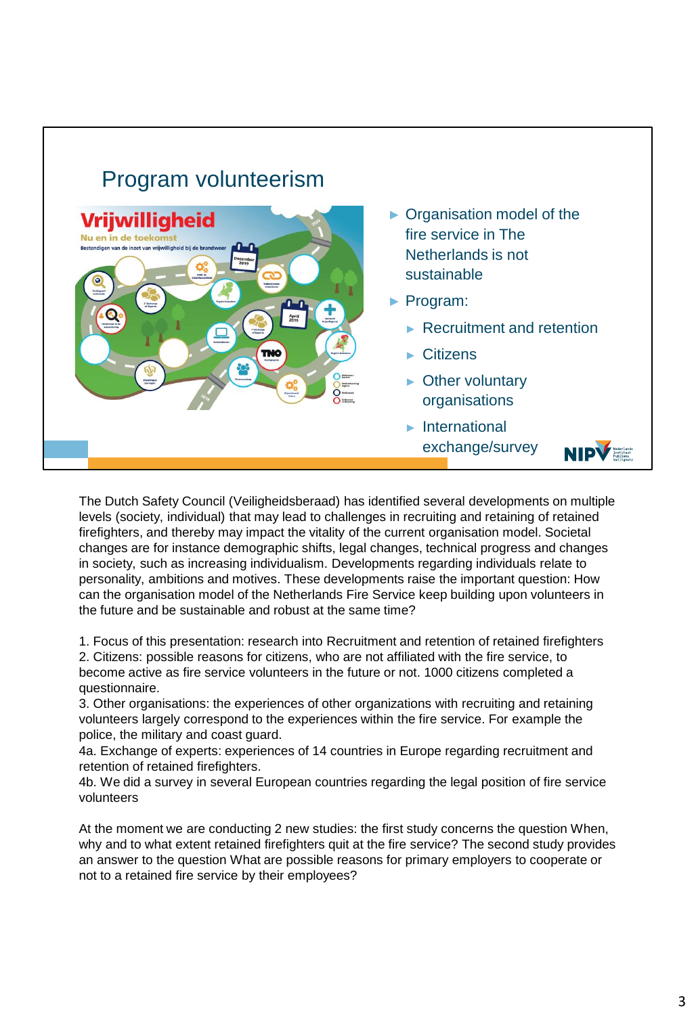## Program volunteerism



The Dutch Safety Council (Veiligheidsberaad) has identified several developments on multiple levels (society, individual) that may lead to challenges in recruiting and retaining of retained firefighters, and thereby may impact the vitality of the current organisation model. Societal changes are for instance demographic shifts, legal changes, technical progress and changes in society, such as increasing individualism. Developments regarding individuals relate to personality, ambitions and motives. These developments raise the important question: How can the organisation model of the Netherlands Fire Service keep building upon volunteers in the future and be sustainable and robust at the same time?

1. Focus of this presentation: research into Recruitment and retention of retained firefighters 2. Citizens: possible reasons for citizens, who are not affiliated with the fire service, to become active as fire service volunteers in the future or not. 1000 citizens completed a questionnaire.

3. Other organisations: the experiences of other organizations with recruiting and retaining volunteers largely correspond to the experiences within the fire service. For example the police, the military and coast guard.

4a. Exchange of experts: experiences of 14 countries in Europe regarding recruitment and retention of retained firefighters.

4b. We did a survey in several European countries regarding the legal position of fire service volunteers

At the moment we are conducting 2 new studies: the first study concerns the question When, why and to what extent retained firefighters quit at the fire service? The second study provides an answer to the question What are possible reasons for primary employers to cooperate or not to a retained fire service by their employees?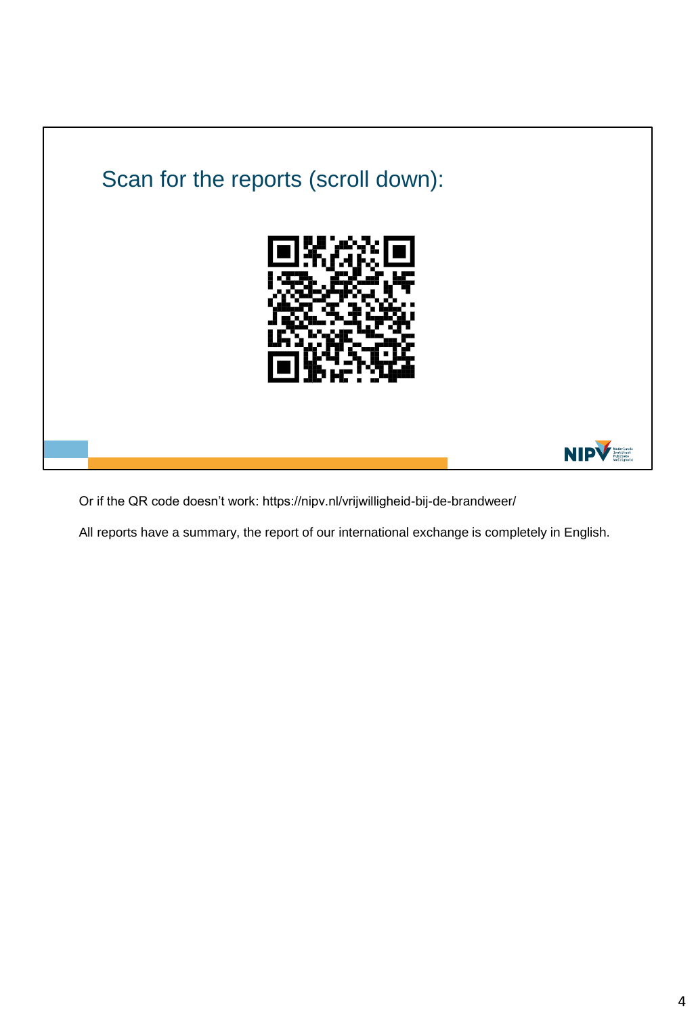

Or if the QR code doesn't work: https://nipv.nl/vrijwilligheid-bij-de-brandweer/

All reports have a summary, the report of our international exchange is completely in English.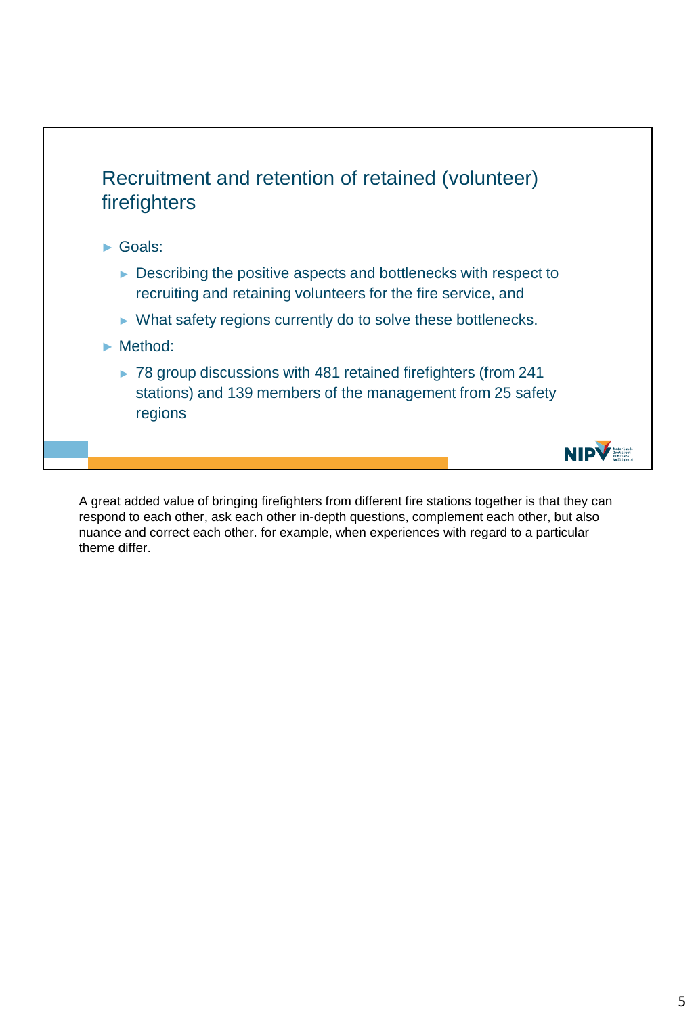

A great added value of bringing firefighters from different fire stations together is that they can respond to each other, ask each other in-depth questions, complement each other, but also nuance and correct each other. for example, when experiences with regard to a particular theme differ.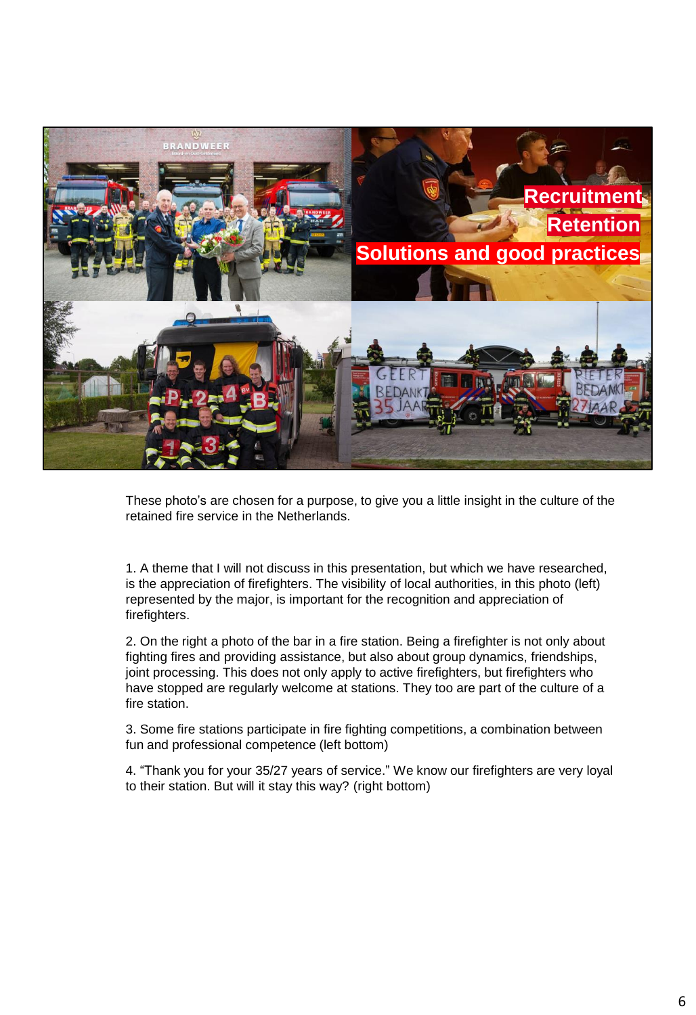

These photo's are chosen for a purpose, to give you a little insight in the culture of the retained fire service in the Netherlands.

1. A theme that I will not discuss in this presentation, but which we have researched, is the appreciation of firefighters. The visibility of local authorities, in this photo (left) represented by the major, is important for the recognition and appreciation of firefighters.

2. On the right a photo of the bar in a fire station. Being a firefighter is not only about fighting fires and providing assistance, but also about group dynamics, friendships, joint processing. This does not only apply to active firefighters, but firefighters who have stopped are regularly welcome at stations. They too are part of the culture of a fire station.

3. Some fire stations participate in fire fighting competitions, a combination between fun and professional competence (left bottom)

4. "Thank you for your 35/27 years of service." We know our firefighters are very loyal to their station. But will it stay this way? (right bottom)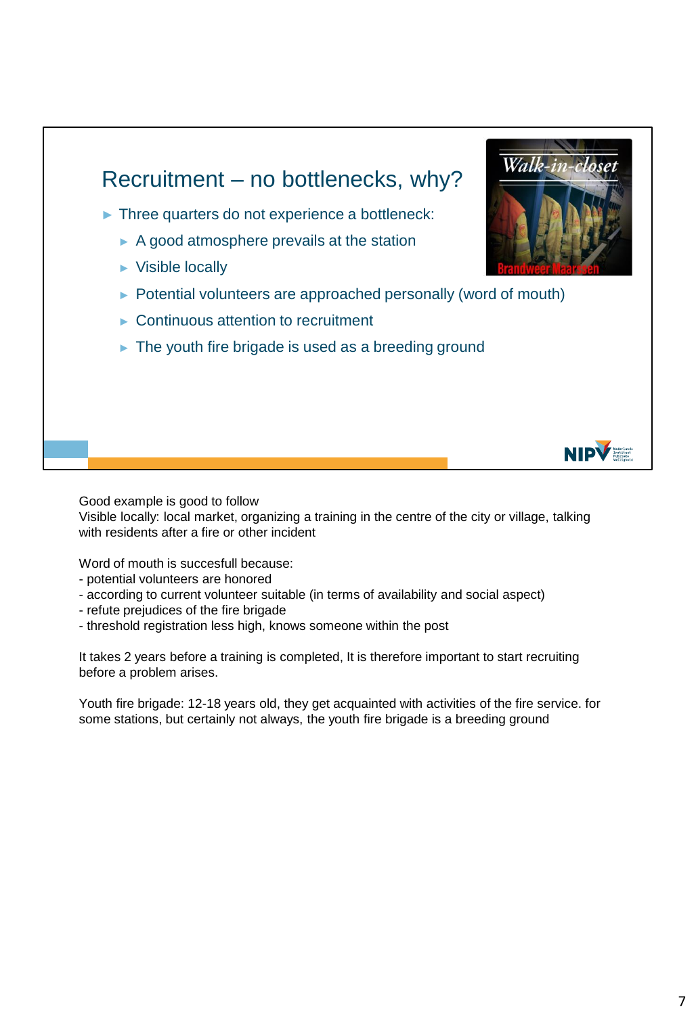

Good example is good to follow

Visible locally: local market, organizing a training in the centre of the city or village, talking with residents after a fire or other incident

Word of mouth is succesfull because:

- potential volunteers are honored
- according to current volunteer suitable (in terms of availability and social aspect)
- refute prejudices of the fire brigade
- threshold registration less high, knows someone within the post

It takes 2 years before a training is completed, It is therefore important to start recruiting before a problem arises.

Youth fire brigade: 12-18 years old, they get acquainted with activities of the fire service. for some stations, but certainly not always, the youth fire brigade is a breeding ground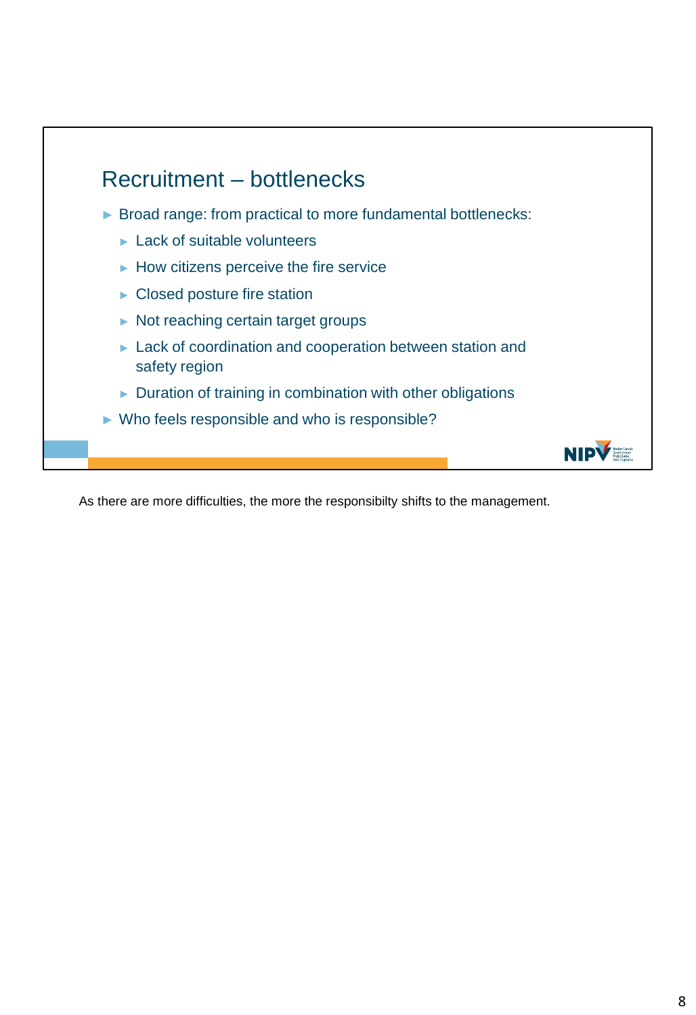

As there are more difficulties, the more the responsibilty shifts to the management.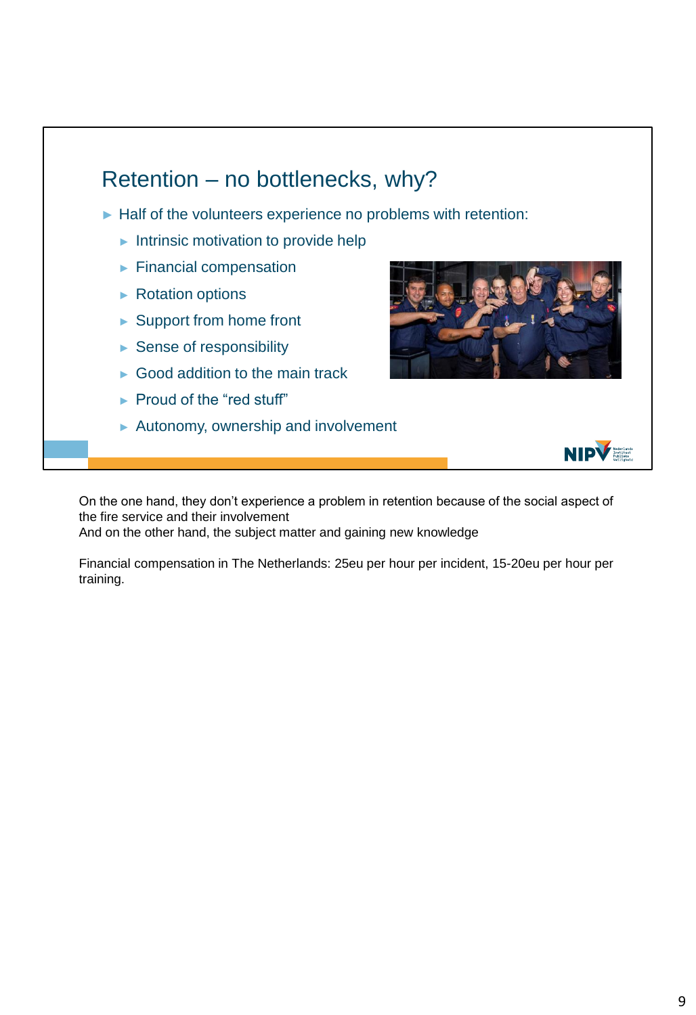

On the one hand, they don't experience a problem in retention because of the social aspect of the fire service and their involvement And on the other hand, the subject matter and gaining new knowledge

Financial compensation in The Netherlands: 25eu per hour per incident, 15-20eu per hour per training.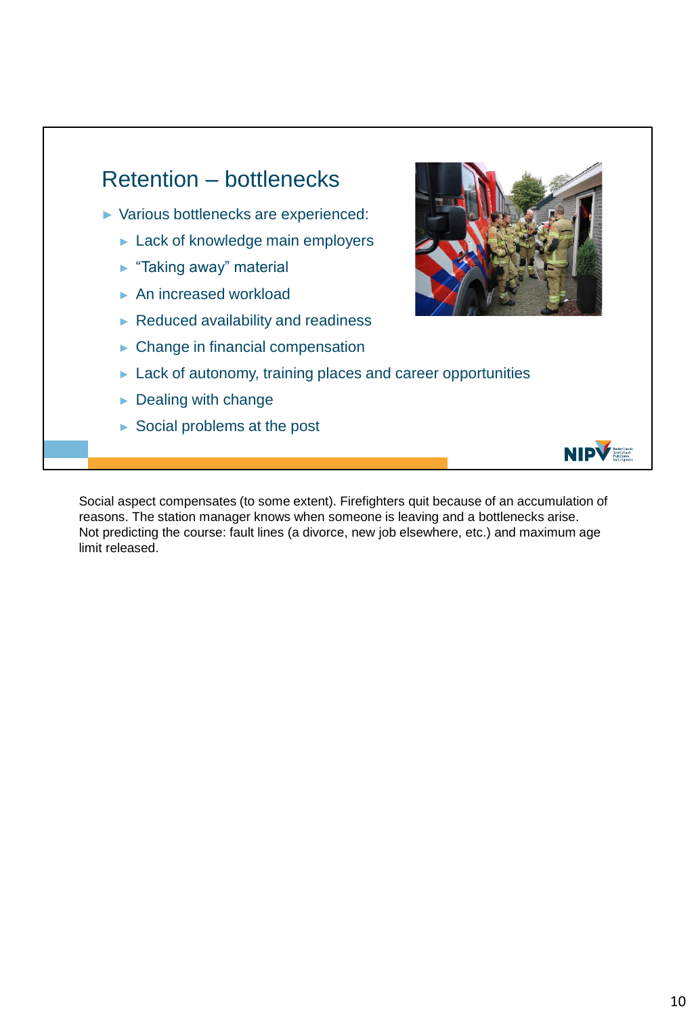

Social aspect compensates (to some extent). Firefighters quit because of an accumulation of reasons. The station manager knows when someone is leaving and a bottlenecks arise. Not predicting the course: fault lines (a divorce, new job elsewhere, etc.) and maximum age limit released.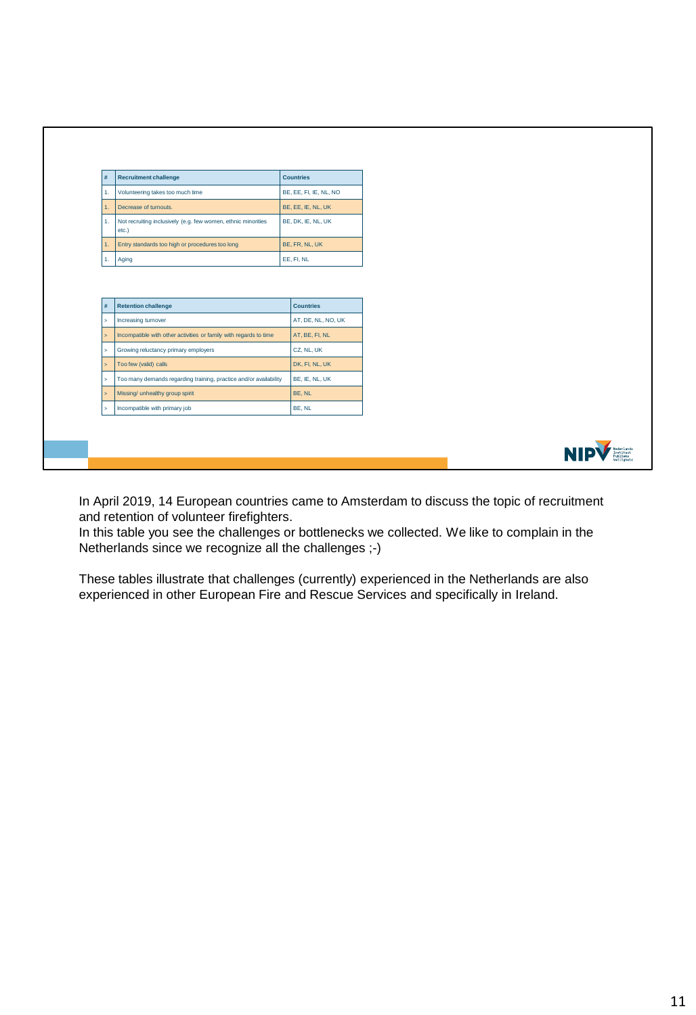| #                    | <b>Recruitment challenge</b>                                           | <b>Countries</b>               |
|----------------------|------------------------------------------------------------------------|--------------------------------|
| 1.                   | Volunteering takes too much time                                       | BE, EE, FI, IE, NL, NO         |
| 1.                   | Decrease of turnouts.                                                  | BE, EE, IE, NL, UK             |
| 1.                   | Not recruiting inclusively (e.g. few women, ethnic minorities<br>etc.) | BE, DK, IE, NL, UK             |
| 1.                   | Entry standards too high or procedures too long                        | BE, FR, NL, UK                 |
|                      |                                                                        |                                |
|                      | Aging<br><b>Retention challenge</b>                                    | EE, FI, NL<br><b>Countries</b> |
| 1.<br>$\#$<br>$\geq$ | Increasing turnover                                                    | AT, DE, NL, NO, UK             |
| $\,>\,$              | Incompatible with other activities or family with regards to time      | AT, BE, FI, NL                 |
| $\geq$               | Growing reluctancy primary employers                                   | CZ, NL, UK                     |
| $\bar{p}$            | Too few (valid) calls                                                  | DK, FI, NL, UK                 |
| $\geq$               | Too many demands regarding training, practice and/or availability      | BE, IE, NL, UK                 |
| $\mathbf{z}$         | Missing/ unhealthy group spirit                                        | BE, NL                         |

In April 2019, 14 European countries came to Amsterdam to discuss the topic of recruitment and retention of volunteer firefighters.

In this table you see the challenges or bottlenecks we collected. We like to complain in the Netherlands since we recognize all the challenges ;-)

These tables illustrate that challenges (currently) experienced in the Netherlands are also experienced in other European Fire and Rescue Services and specifically in Ireland.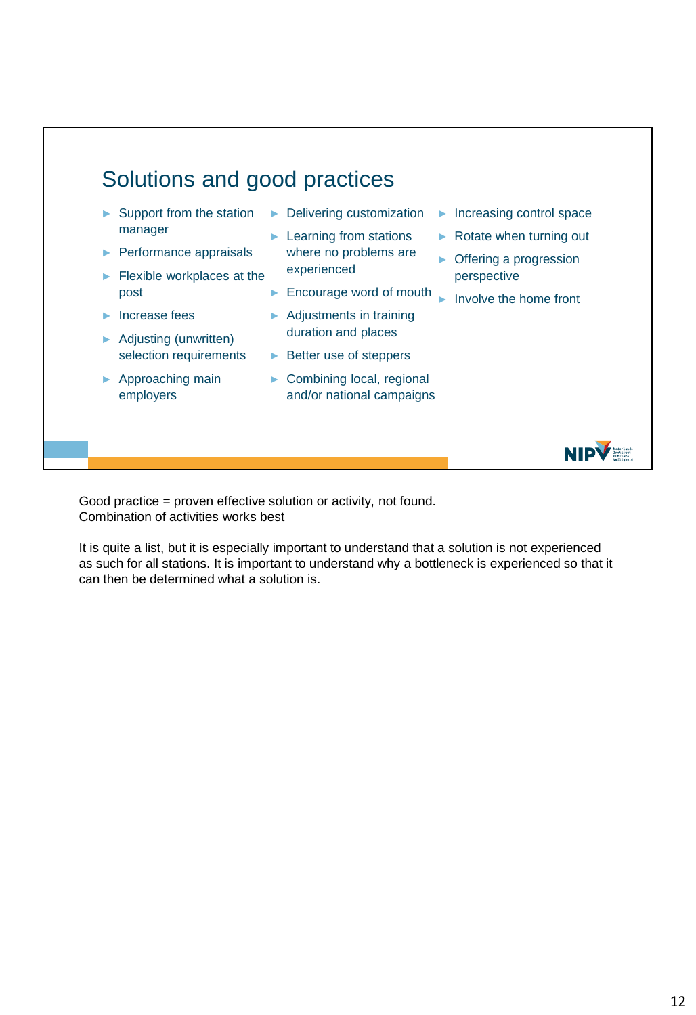

Good practice = proven effective solution or activity, not found. Combination of activities works best

It is quite a list, but it is especially important to understand that a solution is not experienced as such for all stations. It is important to understand why a bottleneck is experienced so that it can then be determined what a solution is.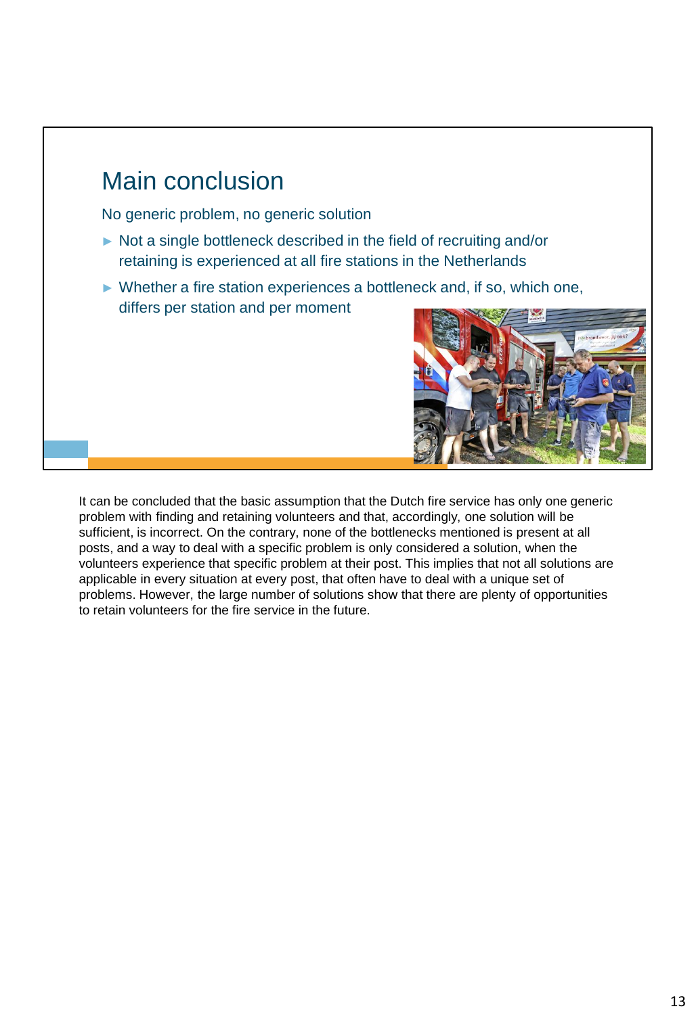## No generic problem, no generic solution ► Not a single bottleneck described in the field of recruiting and/or retaining is experienced at all fire stations in the Netherlands ► Whether a fire station experiences a bottleneck and, if so, which one, differs per station and per moment Main conclusion

It can be concluded that the basic assumption that the Dutch fire service has only one generic problem with finding and retaining volunteers and that, accordingly, one solution will be sufficient, is incorrect. On the contrary, none of the bottlenecks mentioned is present at all posts, and a way to deal with a specific problem is only considered a solution, when the volunteers experience that specific problem at their post. This implies that not all solutions are applicable in every situation at every post, that often have to deal with a unique set of problems. However, the large number of solutions show that there are plenty of opportunities to retain volunteers for the fire service in the future.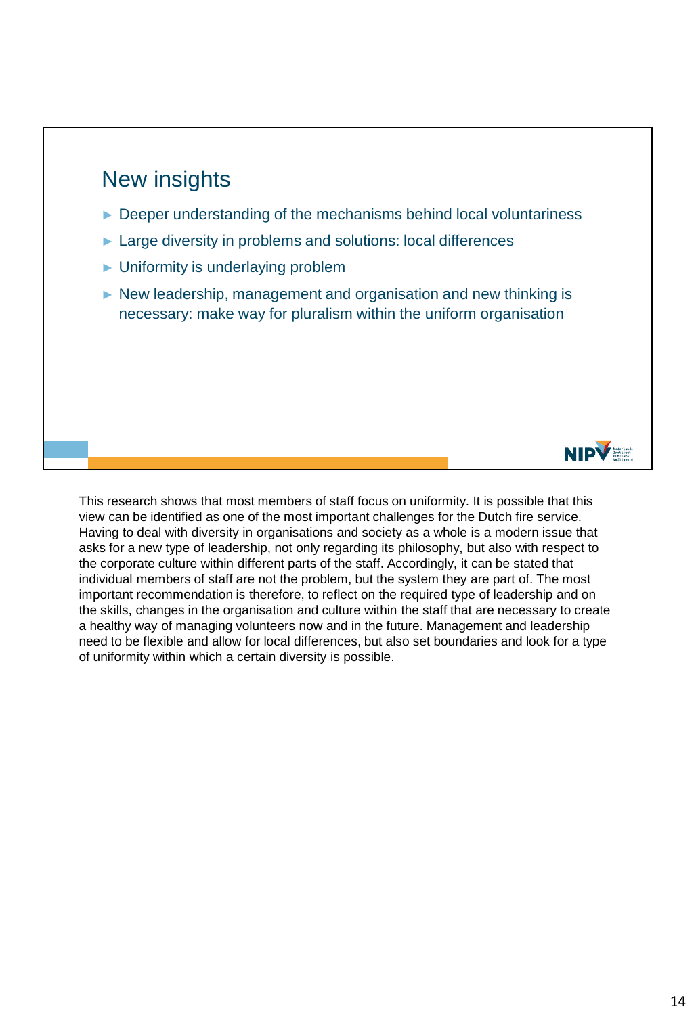## New insights

- ► Deeper understanding of the mechanisms behind local voluntariness
- ► Large diversity in problems and solutions: local differences
- ► Uniformity is underlaying problem
- ► New leadership, management and organisation and new thinking is necessary: make way for pluralism within the uniform organisation



This research shows that most members of staff focus on uniformity. It is possible that this view can be identified as one of the most important challenges for the Dutch fire service. Having to deal with diversity in organisations and society as a whole is a modern issue that asks for a new type of leadership, not only regarding its philosophy, but also with respect to the corporate culture within different parts of the staff. Accordingly, it can be stated that individual members of staff are not the problem, but the system they are part of. The most important recommendation is therefore, to reflect on the required type of leadership and on the skills, changes in the organisation and culture within the staff that are necessary to create a healthy way of managing volunteers now and in the future. Management and leadership need to be flexible and allow for local differences, but also set boundaries and look for a type of uniformity within which a certain diversity is possible.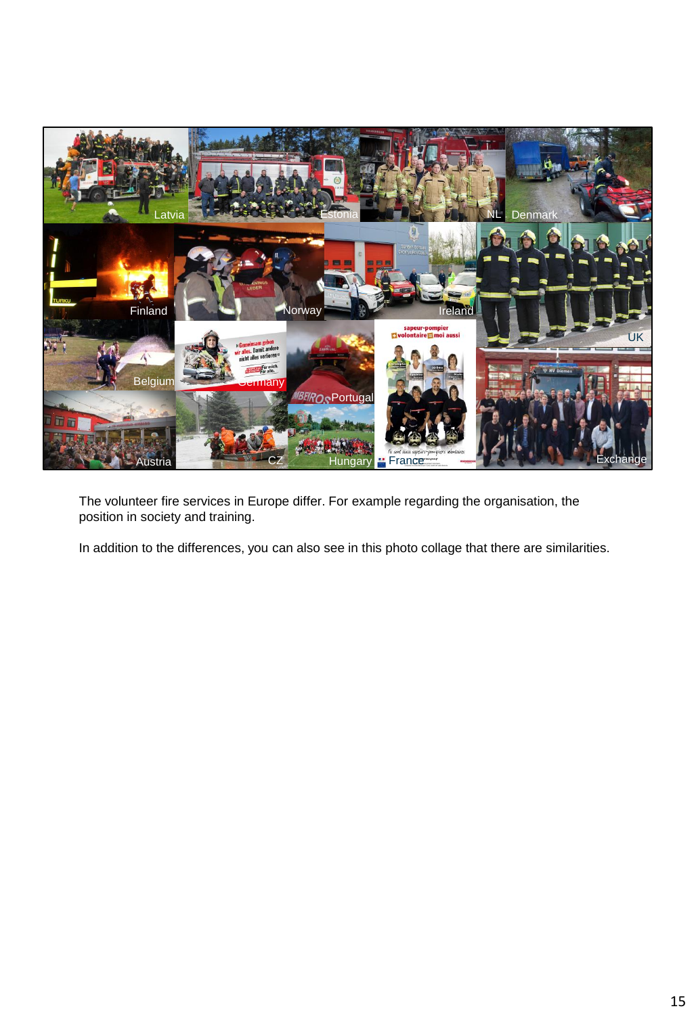

The volunteer fire services in Europe differ. For example regarding the organisation, the position in society and training.

In addition to the differences, you can also see in this photo collage that there are similarities.